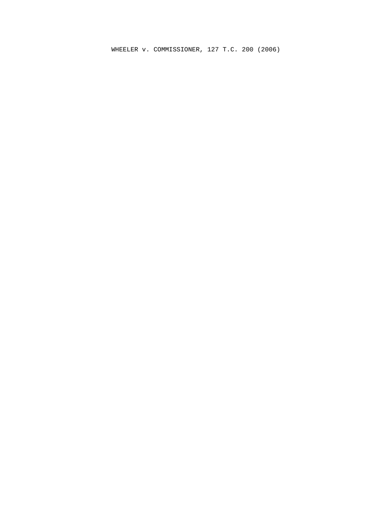WHEELER v. COMMISSIONER, 127 T.C. 200 (2006)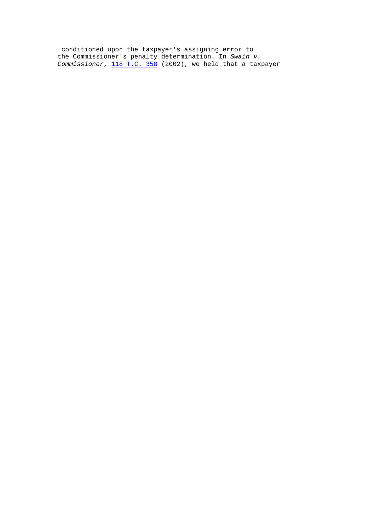conditioned upon the taxpayer's assigning error to the Commissioner's penalty determination. In Swain v. Commissioner,  $\overline{118}$  T.C. 358 (2002), we held that a taxpayer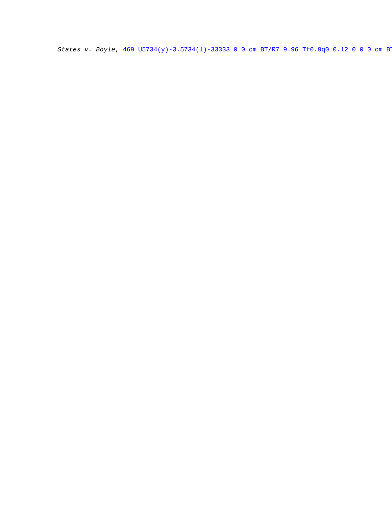States v. Boyle,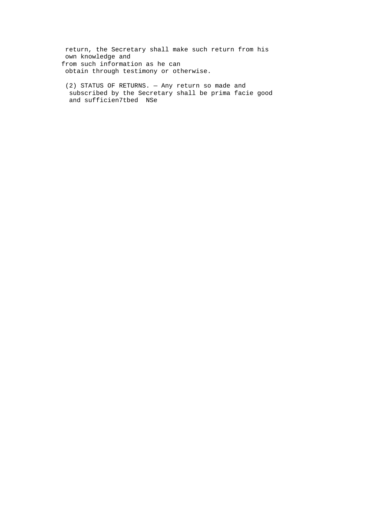return, the Secretary shall make such return from his own knowledge and from such information as he can obtain through testimony or otherwise.

(2) STATUS OF RETURNS. - Any return so made and subscribed by the Secretary shall be prima facie good and sufficien7tbed NSe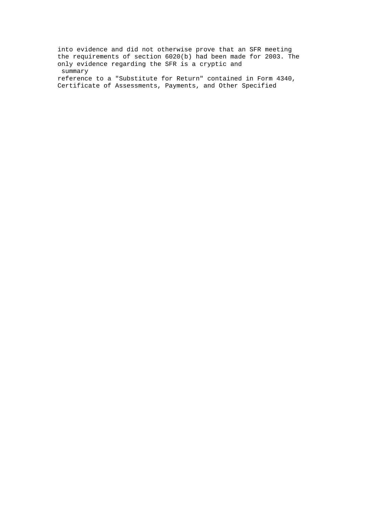into evidence and did not otherwise prove that an SFR meeting the requirements of section 6020(b) had been made for 2003. The only evidence regarding the SFR is a cryptic and summary reference to a "Substitute for Return" contained in Form 4340, Certificate of Assessments, Payments, and Other Specified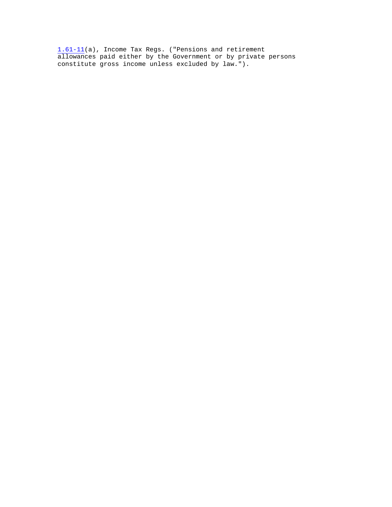1.61-11(a), Income Tax Regs. ("Pensions and retirement allowances paid either by the Government or by private persons constitute gross income unless excluded by law.").